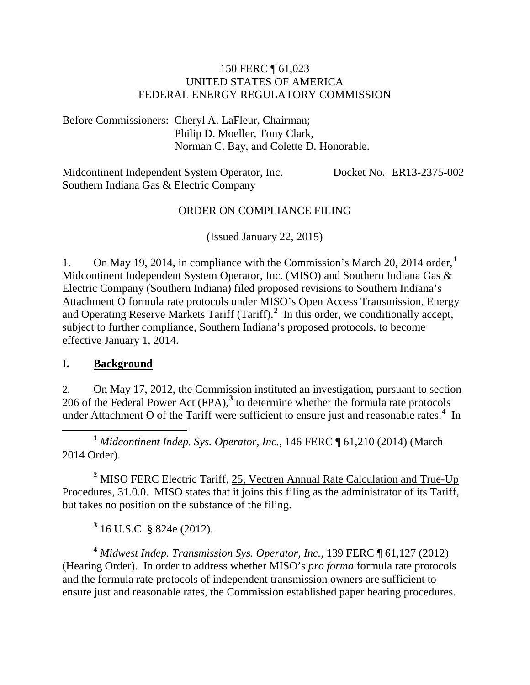#### 150 FERC ¶ 61,023 UNITED STATES OF AMERICA FEDERAL ENERGY REGULATORY COMMISSION

Before Commissioners: Cheryl A. LaFleur, Chairman; Philip D. Moeller, Tony Clark, Norman C. Bay, and Colette D. Honorable.

Midcontinent Independent System Operator, Inc. Southern Indiana Gas & Electric Company Docket No. ER13-2375-002

#### ORDER ON COMPLIANCE FILING

(Issued January 22, 2015)

1. On May 19, 2014, in compliance with the Commission's March 20, 2014 order,**[1](#page-0-0)** Midcontinent Independent System Operator, Inc. (MISO) and Southern Indiana Gas & Electric Company (Southern Indiana) filed proposed revisions to Southern Indiana's Attachment O formula rate protocols under MISO's Open Access Transmission, Energy and Operating Reserve Markets Tariff (Tariff).**[2](#page-0-1)** In this order, we conditionally accept, subject to further compliance, Southern Indiana's proposed protocols, to become effective January 1, 2014.

#### **I. Background**

2. On May 17, 2012, the Commission instituted an investigation, pursuant to section 206 of the Federal Power Act (FPA),**[3](#page-0-2)** to determine whether the formula rate protocols under Attachment O of the Tariff were sufficient to ensure just and reasonable rates.<sup>[4](#page-0-3)</sup> In

<span id="page-0-0"></span> **<sup>1</sup>** *Midcontinent Indep. Sys. Operator*, *Inc.,* 146 FERC ¶ 61,210 (2014) (March 2014 Order).

<span id="page-0-1"></span>**<sup>2</sup>** MISO FERC Electric Tariff, [25, Vectren Annual Rate Calculation and True-Up](http://etariff.ferc.gov/TariffSectionDetails.aspx?tid=1162&sid=162863)  [Procedures, 31.0.0.](http://etariff.ferc.gov/TariffSectionDetails.aspx?tid=1162&sid=162863) MISO states that it joins this filing as the administrator of its Tariff, but takes no position on the substance of the filing.

**<sup>3</sup>** 16 U.S.C. § 824e (2012).

<span id="page-0-3"></span><span id="page-0-2"></span>**<sup>4</sup>** *Midwest Indep. Transmission Sys. Operator, Inc.*, 139 FERC ¶ 61,127 (2012) (Hearing Order). In order to address whether MISO's *pro forma* formula rate protocols and the formula rate protocols of independent transmission owners are sufficient to ensure just and reasonable rates, the Commission established paper hearing procedures.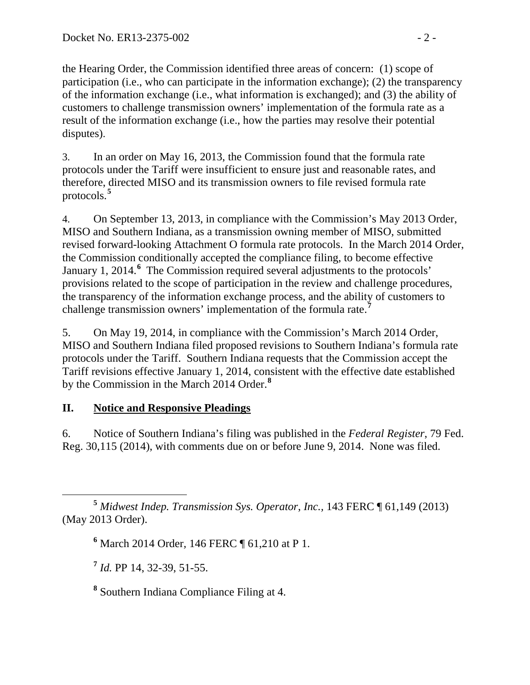the Hearing Order, the Commission identified three areas of concern: (1) scope of participation (i.e., who can participate in the information exchange); (2) the transparency of the information exchange (i.e., what information is exchanged); and (3) the ability of customers to challenge transmission owners' implementation of the formula rate as a result of the information exchange (i.e., how the parties may resolve their potential disputes).

3. In an order on May 16, 2013, the Commission found that the formula rate protocols under the Tariff were insufficient to ensure just and reasonable rates, and therefore, directed MISO and its transmission owners to file revised formula rate protocols.**[5](#page-1-0)**

4. On September 13, 2013, in compliance with the Commission's May 2013 Order, MISO and Southern Indiana, as a transmission owning member of MISO, submitted revised forward-looking Attachment O formula rate protocols. In the March 2014 Order, the Commission conditionally accepted the compliance filing, to become effective January 1, 2014.<sup>[6](#page-1-1)</sup> The Commission required several adjustments to the protocols' provisions related to the scope of participation in the review and challenge procedures, the transparency of the information exchange process, and the ability of customers to challenge transmission owners' implementation of the formula rate.**[7](#page-1-2)**

5. On May 19, 2014, in compliance with the Commission's March 2014 Order, MISO and Southern Indiana filed proposed revisions to Southern Indiana's formula rate protocols under the Tariff. Southern Indiana requests that the Commission accept the Tariff revisions effective January 1, 2014, consistent with the effective date established by the Commission in the March 2014 Order. **[8](#page-1-3)**

## **II. Notice and Responsive Pleadings**

6. Notice of Southern Indiana's filing was published in the *Federal Register*, 79 Fed. Reg. 30,115 (2014), with comments due on or before June 9, 2014. None was filed.

<span id="page-1-2"></span><span id="page-1-1"></span><span id="page-1-0"></span> **<sup>5</sup>** *Midwest Indep. Transmission Sys. Operator*, *Inc.,* 143 FERC ¶ 61,149 (2013) (May 2013 Order).

**<sup>6</sup>** March 2014 Order*,* 146 FERC ¶ 61,210 at P 1.

**<sup>7</sup>** *Id.* PP 14, 32-39, 51-55.

<span id="page-1-3"></span>**<sup>8</sup>** Southern Indiana Compliance Filing at 4.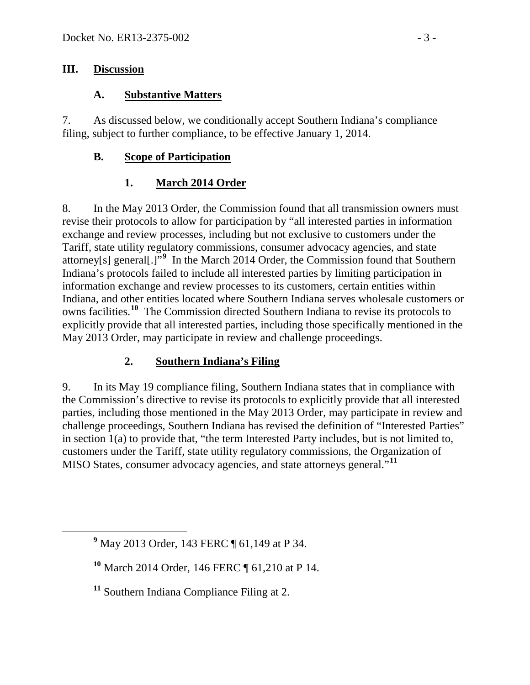#### **III. Discussion**

#### **A. Substantive Matters**

7. As discussed below, we conditionally accept Southern Indiana's compliance filing, subject to further compliance, to be effective January 1, 2014.

#### **B. Scope of Participation**

### **1. March 2014 Order**

8. In the May 2013 Order, the Commission found that all transmission owners must revise their protocols to allow for participation by "all interested parties in information exchange and review processes, including but not exclusive to customers under the Tariff, state utility regulatory commissions, consumer advocacy agencies, and state attorney[s] general[.]"**[9](#page-2-0)** In the March 2014 Order, the Commission found that Southern Indiana's protocols failed to include all interested parties by limiting participation in information exchange and review processes to its customers, certain entities within Indiana, and other entities located where Southern Indiana serves wholesale customers or owns facilities. **[10](#page-2-1)** The Commission directed Southern Indiana to revise its protocols to explicitly provide that all interested parties, including those specifically mentioned in the May 2013 Order, may participate in review and challenge proceedings.

### **2. Southern Indiana's Filing**

9. In its May 19 compliance filing, Southern Indiana states that in compliance with the Commission's directive to revise its protocols to explicitly provide that all interested parties, including those mentioned in the May 2013 Order, may participate in review and challenge proceedings, Southern Indiana has revised the definition of "Interested Parties" in section 1(a) to provide that, "the term Interested Party includes, but is not limited to, customers under the Tariff, state utility regulatory commissions, the Organization of MISO States, consumer advocacy agencies, and state attorneys general."**[11](#page-2-2)**

<span id="page-2-0"></span>**<sup>9</sup>** May 2013 Order*,* 143 FERC ¶ 61,149 at P 34.

<span id="page-2-1"></span>**<sup>10</sup>** March 2014 Order*,* 146 FERC ¶ 61,210 at P 14.

<span id="page-2-2"></span>**<sup>11</sup>** Southern Indiana Compliance Filing at 2.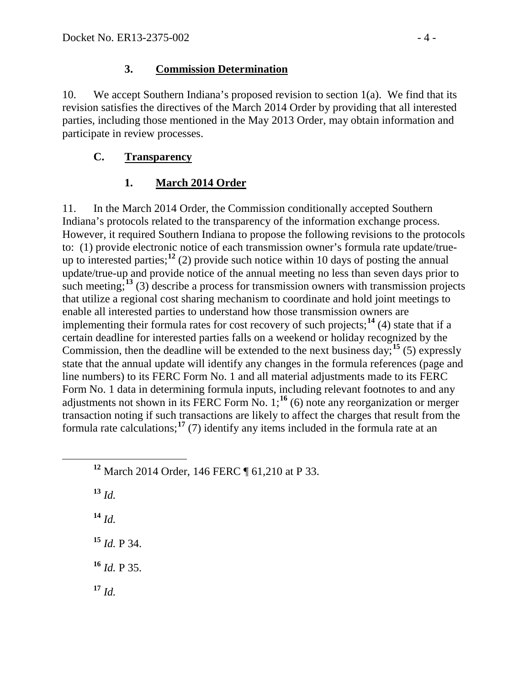## **3. Commission Determination**

10. We accept Southern Indiana's proposed revision to section 1(a). We find that its revision satisfies the directives of the March 2014 Order by providing that all interested parties, including those mentioned in the May 2013 Order, may obtain information and participate in review processes.

## **C. Transparency**

# **1. March 2014 Order**

11. In the March 2014 Order, the Commission conditionally accepted Southern Indiana's protocols related to the transparency of the information exchange process. However, it required Southern Indiana to propose the following revisions to the protocols to: (1) provide electronic notice of each transmission owner's formula rate update/true-up to interested parties;<sup>[12](#page-3-0)</sup> (2) provide such notice within 10 days of posting the annual update/true-up and provide notice of the annual meeting no less than seven days prior to such meeting;<sup>[13](#page-3-1)</sup> (3) describe a process for transmission owners with transmission projects that utilize a regional cost sharing mechanism to coordinate and hold joint meetings to enable all interested parties to understand how those transmission owners are implementing their formula rates for cost recovery of such projects;<sup>[14](#page-3-2)</sup> (4) state that if a certain deadline for interested parties falls on a weekend or holiday recognized by the Commission, then the deadline will be extended to the next business day;<sup>[15](#page-3-3)</sup> (5) expressly state that the annual update will identify any changes in the formula references (page and line numbers) to its FERC Form No. 1 and all material adjustments made to its FERC Form No. 1 data in determining formula inputs, including relevant footnotes to and any adjustments not shown in its FERC Form No.  $1;^{16}$  $1;^{16}$  $1;^{16}$  (6) note any reorganization or merger transaction noting if such transactions are likely to affect the charges that result from the formula rate calculations;<sup>[17](#page-3-5)</sup> (7) identify any items included in the formula rate at an

<span id="page-3-1"></span>**<sup>13</sup>** *Id.*

<span id="page-3-2"></span>**<sup>14</sup>** *Id.*

<span id="page-3-3"></span>**<sup>15</sup>** *Id.* P 34.

<span id="page-3-4"></span>**<sup>16</sup>** *Id.* P 35.

<span id="page-3-5"></span> $17 \; Id.$ 

<span id="page-3-0"></span>**<sup>12</sup>** March 2014 Order, 146 FERC ¶ 61,210 at P 33.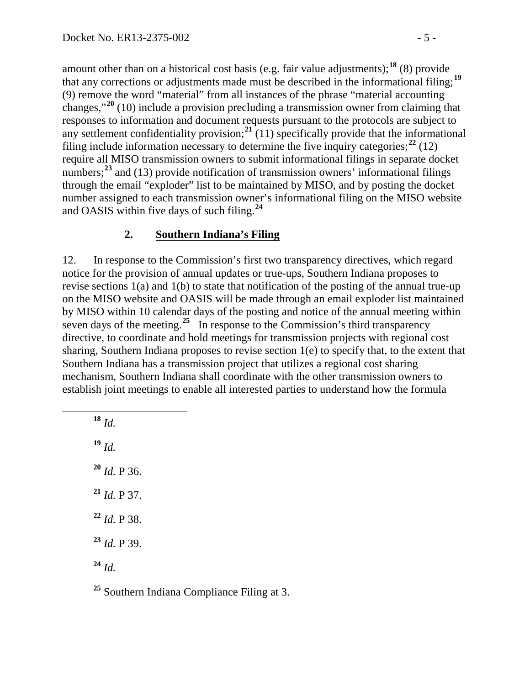amount other than on a historical cost basis (e.g. fair value adjustments);<sup>[18](#page-4-0)</sup> (8) provide that any corrections or adjustments made must be described in the informational filing; **[19](#page-4-1)** (9) remove the word "material" from all instances of the phrase "material accounting changes,"**[20](#page-4-2)** (10) include a provision precluding a transmission owner from claiming that responses to information and document requests pursuant to the protocols are subject to any settlement confidentiality provision; **[21](#page-4-3)** (11) specifically provide that the informational filing include information necessary to determine the five inquiry categories;<sup>[22](#page-4-4)</sup> (12) require all MISO transmission owners to submit informational filings in separate docket numbers;<sup>[23](#page-4-5)</sup> and (13) provide notification of transmission owners' informational filings through the email "exploder" list to be maintained by MISO, and by posting the docket number assigned to each transmission owner's informational filing on the MISO website and OASIS within five days of such filing.**[24](#page-4-6)**

### **2. Southern Indiana's Filing**

12. In response to the Commission's first two transparency directives, which regard notice for the provision of annual updates or true-ups, Southern Indiana proposes to revise sections 1(a) and 1(b) to state that notification of the posting of the annual true-up on the MISO website and OASIS will be made through an email exploder list maintained by MISO within 10 calendar days of the posting and notice of the annual meeting within seven days of the meeting.**[25](#page-4-7)** In response to the Commission's third transparency directive, to coordinate and hold meetings for transmission projects with regional cost sharing, Southern Indiana proposes to revise section 1(e) to specify that, to the extent that Southern Indiana has a transmission project that utilizes a regional cost sharing mechanism, Southern Indiana shall coordinate with the other transmission owners to establish joint meetings to enable all interested parties to understand how the formula

<span id="page-4-3"></span><span id="page-4-2"></span><span id="page-4-1"></span><span id="page-4-0"></span> $18$  *Id.* **<sup>19</sup>** *Id.* **<sup>20</sup>** *Id.* P 36. **<sup>21</sup>** *Id.* P 37. **<sup>22</sup>** *Id.* P 38. **<sup>23</sup>** *Id.* P 39. **<sup>24</sup>** *Id.*

<span id="page-4-7"></span><span id="page-4-6"></span><span id="page-4-5"></span><span id="page-4-4"></span>**<sup>25</sup>** Southern Indiana Compliance Filing at 3.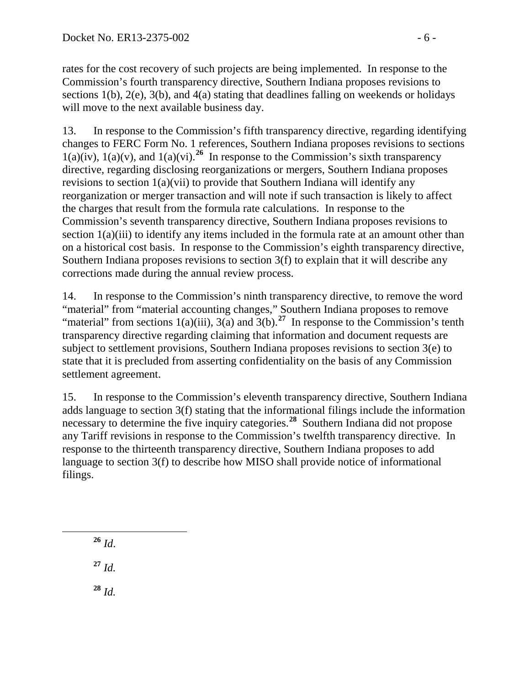rates for the cost recovery of such projects are being implemented. In response to the Commission's fourth transparency directive, Southern Indiana proposes revisions to sections 1(b), 2(e), 3(b), and 4(a) stating that deadlines falling on weekends or holidays will move to the next available business day.

13. In response to the Commission's fifth transparency directive, regarding identifying changes to FERC Form No. 1 references, Southern Indiana proposes revisions to sections  $1(a)(iv)$ ,  $1(a)(v)$ , and  $1(a)(vi)$ .<sup>[26](#page-5-0)</sup> In response to the Commission's sixth transparency directive, regarding disclosing reorganizations or mergers, Southern Indiana proposes revisions to section 1(a)(vii) to provide that Southern Indiana will identify any reorganization or merger transaction and will note if such transaction is likely to affect the charges that result from the formula rate calculations. In response to the Commission's seventh transparency directive, Southern Indiana proposes revisions to section 1(a)(iii) to identify any items included in the formula rate at an amount other than on a historical cost basis. In response to the Commission's eighth transparency directive, Southern Indiana proposes revisions to section 3(f) to explain that it will describe any corrections made during the annual review process.

14. In response to the Commission's ninth transparency directive, to remove the word "material" from "material accounting changes," Southern Indiana proposes to remove "material" from sections  $1(a)(iii)$ ,  $3(a)$  and  $3(b)$ .<sup>[27](#page-5-1)</sup> In response to the Commission's tenth transparency directive regarding claiming that information and document requests are subject to settlement provisions, Southern Indiana proposes revisions to section 3(e) to state that it is precluded from asserting confidentiality on the basis of any Commission settlement agreement.

15. In response to the Commission's eleventh transparency directive, Southern Indiana adds language to section 3(f) stating that the informational filings include the information necessary to determine the five inquiry categories.<sup>[28](#page-5-2)</sup> Southern Indiana did not propose any Tariff revisions in response to the Commission's twelfth transparency directive. In response to the thirteenth transparency directive, Southern Indiana proposes to add language to section 3(f) to describe how MISO shall provide notice of informational filings.

<span id="page-5-2"></span><span id="page-5-1"></span><span id="page-5-0"></span> **<sup>26</sup>** *Id*. **<sup>27</sup>** *Id.* **<sup>28</sup>** *Id.*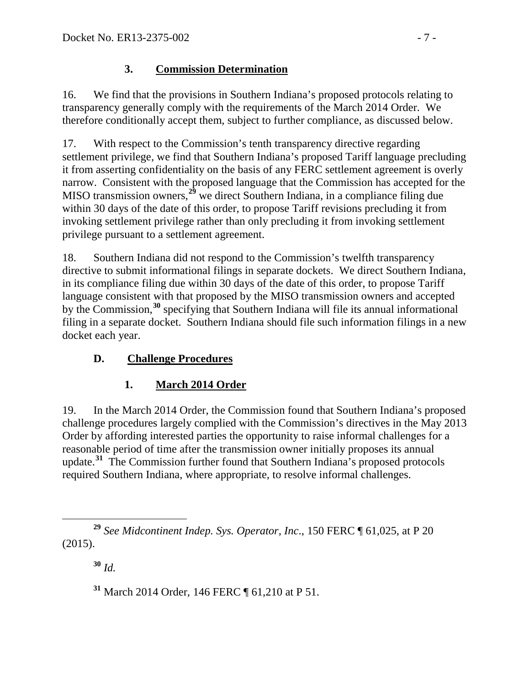## **3. Commission Determination**

16. We find that the provisions in Southern Indiana's proposed protocols relating to transparency generally comply with the requirements of the March 2014 Order. We therefore conditionally accept them, subject to further compliance, as discussed below.

17. With respect to the Commission's tenth transparency directive regarding settlement privilege, we find that Southern Indiana's proposed Tariff language precluding it from asserting confidentiality on the basis of any FERC settlement agreement is overly narrow. Consistent with the proposed language that the Commission has accepted for the MISO transmission owners,**[29](#page-6-0)** we direct Southern Indiana, in a compliance filing due within 30 days of the date of this order, to propose Tariff revisions precluding it from invoking settlement privilege rather than only precluding it from invoking settlement privilege pursuant to a settlement agreement.

18. Southern Indiana did not respond to the Commission's twelfth transparency directive to submit informational filings in separate dockets. We direct Southern Indiana, in its compliance filing due within 30 days of the date of this order, to propose Tariff language consistent with that proposed by the MISO transmission owners and accepted by the Commission,<sup>[30](#page-6-1)</sup> specifying that Southern Indiana will file its annual informational filing in a separate docket. Southern Indiana should file such information filings in a new docket each year.

# **D. Challenge Procedures**

# **1. March 2014 Order**

19. In the March 2014 Order, the Commission found that Southern Indiana's proposed challenge procedures largely complied with the Commission's directives in the May 2013 Order by affording interested parties the opportunity to raise informal challenges for a reasonable period of time after the transmission owner initially proposes its annual update.**[31](#page-6-2)** The Commission further found that Southern Indiana's proposed protocols required Southern Indiana, where appropriate, to resolve informal challenges.

**<sup>30</sup>** *Id.*

**<sup>31</sup>** March 2014 Order, 146 FERC ¶ 61,210 at P 51.

<span id="page-6-2"></span><span id="page-6-1"></span><span id="page-6-0"></span>**<sup>29</sup>** *See Midcontinent Indep. Sys. Operator, Inc*., 150 FERC ¶ 61,025, at P 20 (2015).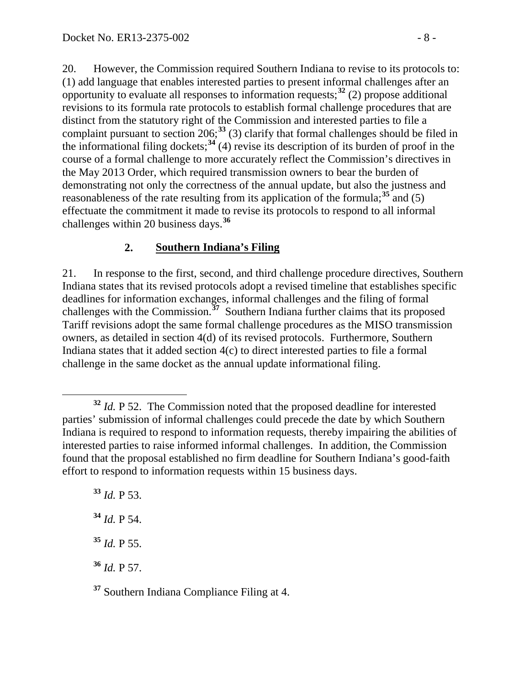20. However, the Commission required Southern Indiana to revise to its protocols to: (1) add language that enables interested parties to present informal challenges after an opportunity to evaluate all responses to information requests; **[32](#page-7-0)** (2) propose additional revisions to its formula rate protocols to establish formal challenge procedures that are distinct from the statutory right of the Commission and interested parties to file a complaint pursuant to section  $206$ ;<sup>[33](#page-7-1)</sup> (3) clarify that formal challenges should be filed in the informational filing dockets; **[34](#page-7-2)** (4) revise its description of its burden of proof in the course of a formal challenge to more accurately reflect the Commission's directives in the May 2013 Order, which required transmission owners to bear the burden of demonstrating not only the correctness of the annual update, but also the justness and reasonableness of the rate resulting from its application of the formula;<sup>[35](#page-7-3)</sup> and (5) effectuate the commitment it made to revise its protocols to respond to all informal challenges within 20 business days.**[36](#page-7-4)**

### **2. Southern Indiana's Filing**

21. In response to the first, second, and third challenge procedure directives, Southern Indiana states that its revised protocols adopt a revised timeline that establishes specific deadlines for information exchanges, informal challenges and the filing of formal challenges with the Commission.**[37](#page-7-5)** Southern Indiana further claims that its proposed Tariff revisions adopt the same formal challenge procedures as the MISO transmission owners, as detailed in section 4(d) of its revised protocols. Furthermore, Southern Indiana states that it added section 4(c) to direct interested parties to file a formal challenge in the same docket as the annual update informational filing.

<span id="page-7-2"></span><span id="page-7-1"></span> *Id.* P 53. *Id.* P 54. *Id.* P 55. *Id.* P 57.

<span id="page-7-5"></span><span id="page-7-4"></span><span id="page-7-3"></span>**<sup>37</sup>** Southern Indiana Compliance Filing at 4.

<span id="page-7-0"></span>**<sup>32</sup>** *Id.* P 52. The Commission noted that the proposed deadline for interested parties' submission of informal challenges could precede the date by which Southern Indiana is required to respond to information requests, thereby impairing the abilities of interested parties to raise informed informal challenges. In addition, the Commission found that the proposal established no firm deadline for Southern Indiana's good-faith effort to respond to information requests within 15 business days.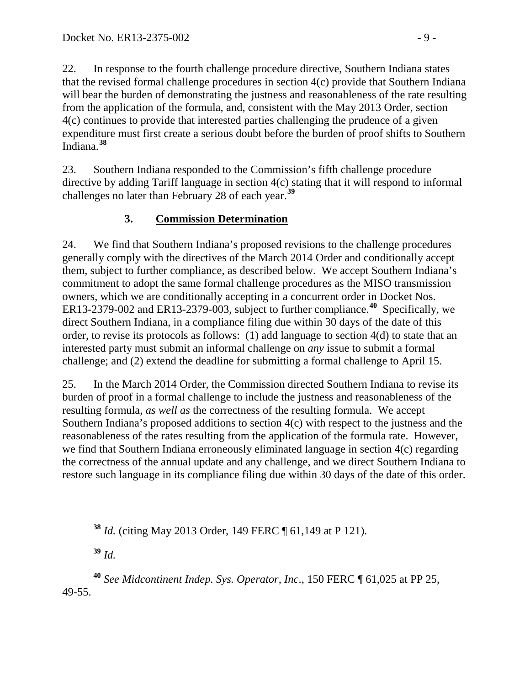22. In response to the fourth challenge procedure directive, Southern Indiana states that the revised formal challenge procedures in section 4(c) provide that Southern Indiana will bear the burden of demonstrating the justness and reasonableness of the rate resulting from the application of the formula, and, consistent with the May 2013 Order, section 4(c) continues to provide that interested parties challenging the prudence of a given expenditure must first create a serious doubt before the burden of proof shifts to Southern Indiana. **[38](#page-8-0)**

23. Southern Indiana responded to the Commission's fifth challenge procedure directive by adding Tariff language in section 4(c) stating that it will respond to informal challenges no later than February 28 of each year. **[39](#page-8-1)**

## **3. Commission Determination**

24. We find that Southern Indiana's proposed revisions to the challenge procedures generally comply with the directives of the March 2014 Order and conditionally accept them, subject to further compliance, as described below. We accept Southern Indiana's commitment to adopt the same formal challenge procedures as the MISO transmission owners, which we are conditionally accepting in a concurrent order in Docket Nos. ER13-2379-002 and ER13-2379-003, subject to further compliance.**[40](#page-8-2)** Specifically, we direct Southern Indiana, in a compliance filing due within 30 days of the date of this order, to revise its protocols as follows: (1) add language to section 4(d) to state that an interested party must submit an informal challenge on *any* issue to submit a formal challenge; and (2) extend the deadline for submitting a formal challenge to April 15.

25. In the March 2014 Order, the Commission directed Southern Indiana to revise its burden of proof in a formal challenge to include the justness and reasonableness of the resulting formula, *as well as* the correctness of the resulting formula. We accept Southern Indiana's proposed additions to section 4(c) with respect to the justness and the reasonableness of the rates resulting from the application of the formula rate. However, we find that Southern Indiana erroneously eliminated language in section 4(c) regarding the correctness of the annual update and any challenge, and we direct Southern Indiana to restore such language in its compliance filing due within 30 days of the date of this order.

**<sup>39</sup>** *Id.*

<span id="page-8-2"></span><span id="page-8-1"></span><span id="page-8-0"></span>**<sup>40</sup>** *See Midcontinent Indep. Sys. Operator, Inc*., 150 FERC ¶ 61,025 at PP 25, 49-55.

**<sup>38</sup>** *Id.* (citing May 2013 Order, 149 FERC ¶ 61,149 at P 121).